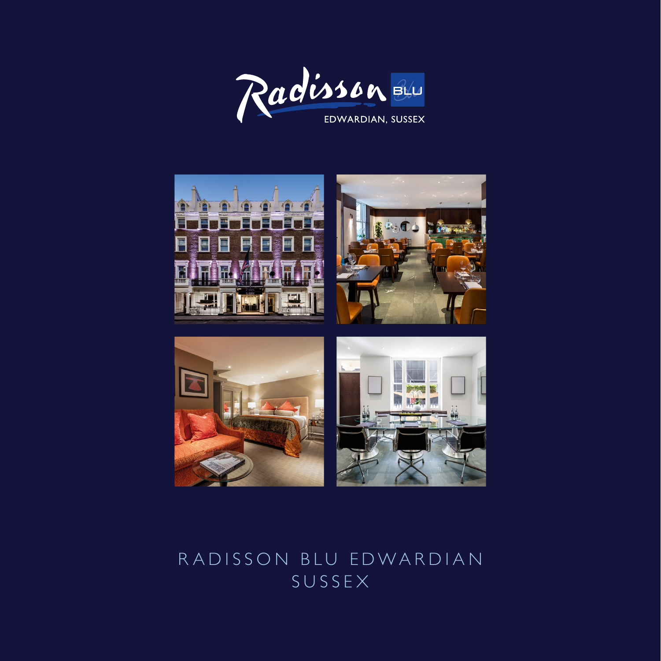





# RADISSON BLU EDWARDIAN SUSSEX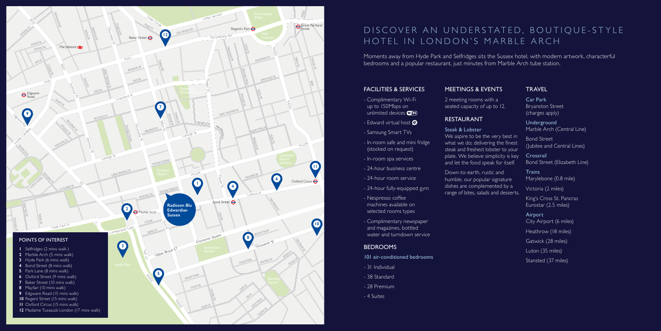## FACILITIES & SERVICES

- Complimentary Wi-Fi up to 150Mbps on unlimited devices **WIFI**
- Edward virtual host  $\Theta$
- Samsung Smart TVs
- In-room safe and mini fridge (stocked on request)
- In-room spa services
- 24-hour business centre
- 24-hour room service
- 24-hour fully-equipped gym
- Nespresso coffee machines available on selected rooms types
- Complimentary newspaper and magazines, bottled water and turndown service

### **BEDROOMS**

- 101 air-conditioned bedrooms
- 31 Individual
- 38 Standard
- 28 Premium
- 4 Suites

Moments away from Hyde Park and Selfridges sits the Sussex hotel, with modern artwork, characterful bedrooms and a popular restaurant, just minutes from Marble Arch tube station.

> **Trains** Marylebone (0.8 mile)

2 meeting rooms with a seated capacity of up to 12.

# RESTAURANT

## Steak & Lobster

#### MEETINGS & EVENTS TRAVEL

- We aspire to be the very best in what we do; delivering the finest steak and freshest lobster to your plate. We believe simplicity is key and let the food speak for itself.
- Down-to-earth, rustic and humble, our popular signature dishes are complemented by a range of bites, salads and desserts.

# DISCOVER AN UNDERSTATED, BOUTIQUE-STYLE HOTEL IN LONDON'S MARBLE ARCH

Car Park Bryanston Street (charges apply)

Underground Marble Arch (Central Line)

Bond Street (Jubilee and Central Lines)

Crossrail Bond Street (Elizabeth Line)

Victoria (2 miles)

King's Cross St. Pancras Eurostar (2.5 miles)

Airport City Airport (6 miles) Heathrow (18 miles) Gatwick (28 miles) Luton (35 miles) Stansted (37 miles)